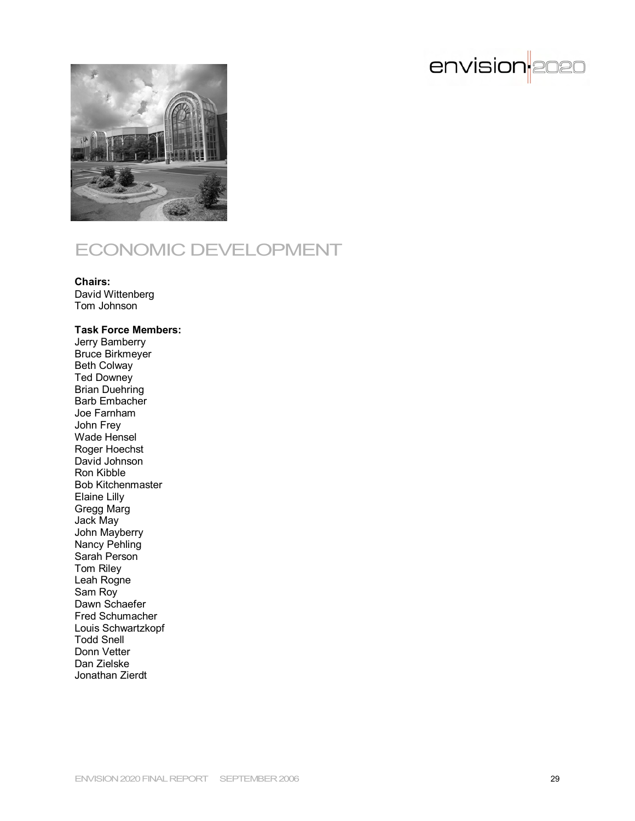



# ECONOMIC DEVELOPMENT

#### **Chairs:**

David Wittenberg Tom Johnson

#### **Task Force Members:**

Jerry Bamberry Bruce Birkmeyer Beth Colway Ted Downey Brian Duehring Barb Embacher Joe Farnham John Frey Wade Hensel Roger Hoechst David Johnson Ron Kibble Bob Kitchenmaster Elaine Lilly Gregg Marg Jack May John Mayberry Nancy Pehling Sarah Person Tom Riley Leah Rogne Sam Roy Dawn Schaefer Fred Schumacher Louis Schwartzkopf Todd Snell Donn Vetter Dan Zielske Jonathan Zierdt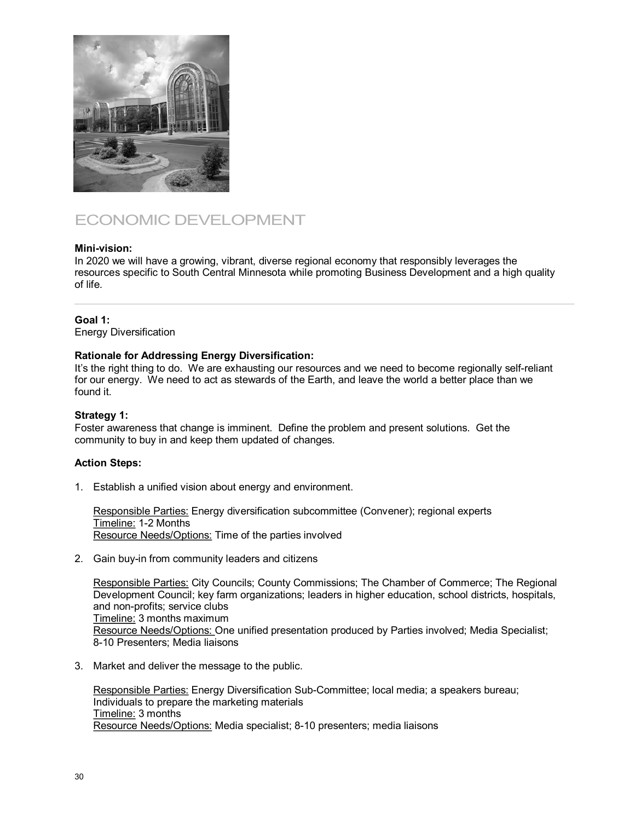

# ECONOMIC DEVELOPMENT

## **Mini-vision:**

In 2020 we will have a growing, vibrant, diverse regional economy that responsibly leverages the resources specific to South Central Minnesota while promoting Business Development and a high quality of life.

## **Goal 1:**

Energy Diversification

## **Rationale for Addressing Energy Diversification:**

It's the right thing to do. We are exhausting our resources and we need to become regionally self-reliant for our energy. We need to act as stewards of the Earth, and leave the world a better place than we found it.

### **Strategy 1:**

Foster awareness that change is imminent. Define the problem and present solutions. Get the community to buy in and keep them updated of changes.

# **Action Steps:**

1. Establish a unified vision about energy and environment.

Responsible Parties: Energy diversification subcommittee (Convener); regional experts Timeline: 12 Months Resource Needs/Options: Time of the parties involved

2. Gain buy-in from community leaders and citizens

Responsible Parties: City Councils; County Commissions; The Chamber of Commerce; The Regional Development Council; key farm organizations; leaders in higher education, school districts, hospitals, and non-profits; service clubs Timeline: 3 months maximum Resource Needs/Options: One unified presentation produced by Parties involved; Media Specialist; 8-10 Presenters; Media liaisons

3. Market and deliver the message to the public.

Responsible Parties: Energy Diversification Sub-Committee; local media; a speakers bureau; Individuals to prepare the marketing materials Timeline: 3 months Resource Needs/Options: Media specialist; 8-10 presenters; media liaisons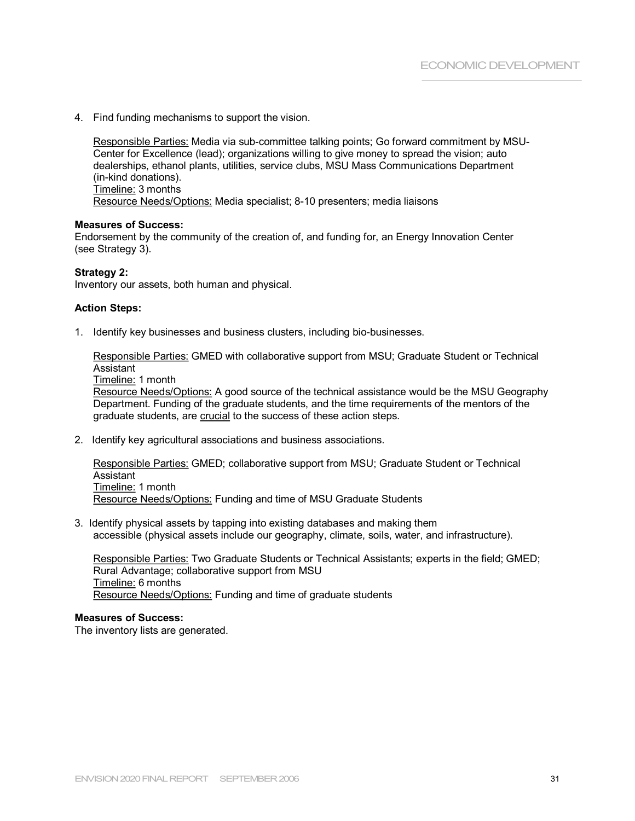4. Find funding mechanisms to support the vision.

Responsible Parties: Media via sub-committee talking points; Go forward commitment by MSU-Center for Excellence (lead); organizations willing to give money to spread the vision; auto dealerships, ethanol plants, utilities, service clubs, MSU Mass Communications Department (in-kind donations). Timeline: 3 months Resource Needs/Options: Media specialist; 8-10 presenters; media liaisons

#### **Measures of Success:**

Endorsement by the community of the creation of, and funding for, an Energy Innovation Center (see Strategy 3).

#### **Strategy 2:**

Inventory our assets, both human and physical.

#### **Action Steps:**

1. Identify key businesses and business clusters, including bio-businesses.

Responsible Parties: GMED with collaborative support from MSU; Graduate Student or Technical Assistant

Timeline: 1 month

Resource Needs/Options: A good source of the technical assistance would be the MSU Geography Department. Funding of the graduate students, and the time requirements of the mentors of the graduate students, are crucial to the success of these action steps.

2. Identify key agricultural associations and business associations.

Responsible Parties: GMED; collaborative support from MSU; Graduate Student or Technical Assistant Timeline: 1 month Resource Needs/Options: Funding and time of MSU Graduate Students

3. Identify physical assets by tapping into existing databases and making them accessible (physical assets include our geography, climate, soils, water, and infrastructure).

Responsible Parties: Two Graduate Students or Technical Assistants; experts in the field; GMED; Rural Advantage; collaborative support from MSU Timeline: 6 months Resource Needs/Options: Funding and time of graduate students

#### **Measures of Success:**

The inventory lists are generated.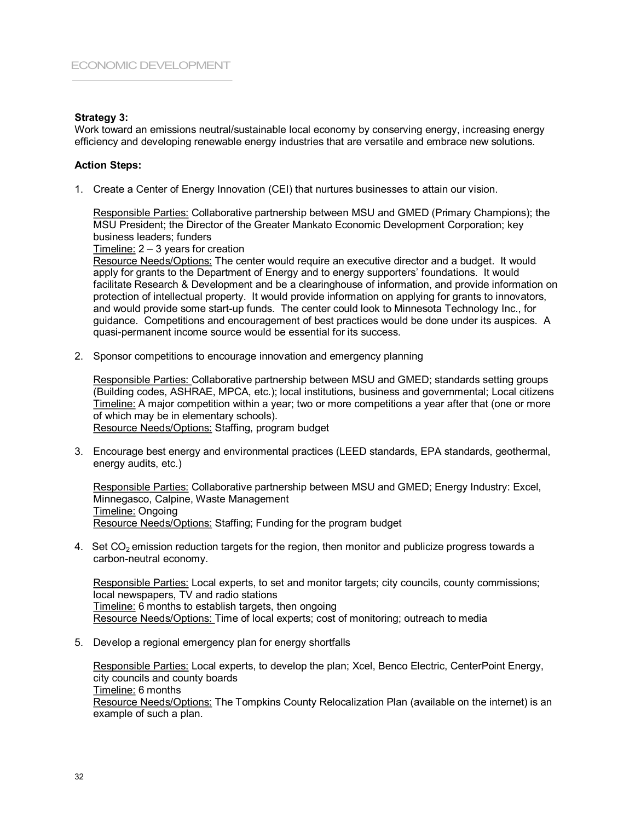## **Strategy 3:**

Work toward an emissions neutral/sustainable local economy by conserving energy, increasing energy efficiency and developing renewable energy industries that are versatile and embrace new solutions.

## **Action Steps:**

1. Create a Center of Energy Innovation (CEI) that nurtures businesses to attain our vision.

Responsible Parties: Collaborative partnership between MSU and GMED (Primary Champions); the MSU President; the Director of the Greater Mankato Economic Development Corporation; key business leaders; funders

Timeline: 2 – 3 years for creation

Resource Needs/Options: The center would require an executive director and a budget. It would apply for grants to the Department of Energy and to energy supporters' foundations. It would facilitate Research & Development and be a clearinghouse of information, and provide information on protection of intellectual property. It would provide information on applying for grants to innovators, and would provide some start-up funds. The center could look to Minnesota Technology Inc., for guidance. Competitions and encouragement of best practices would be done under its auspices. A quasi-permanent income source would be essential for its success.

2. Sponsor competitions to encourage innovation and emergency planning

Responsible Parties: Collaborative partnership between MSU and GMED; standards setting groups (Building codes, ASHRAE, MPCA, etc.); local institutions, business and governmental; Local citizens Timeline: A major competition within a year; two or more competitions a year after that (one or more of which may be in elementary schools). Resource Needs/Options: Staffing, program budget

3. Encourage best energy and environmental practices (LEED standards, EPA standards, geothermal, energy audits, etc.)

Responsible Parties: Collaborative partnership between MSU and GMED; Energy Industry: Excel, Minnegasco, Calpine, Waste Management Timeline: Ongoing Resource Needs/Options: Staffing; Funding for the program budget

4. Set  $CO<sub>2</sub>$  emission reduction targets for the region, then monitor and publicize progress towards a carbon-neutral economy.

Responsible Parties: Local experts, to set and monitor targets; city councils, county commissions; local newspapers, TV and radio stations Timeline: 6 months to establish targets, then ongoing Resource Needs/Options: Time of local experts; cost of monitoring; outreach to media

5. Develop a regional emergency plan for energy shortfalls

Responsible Parties: Local experts, to develop the plan; Xcel, Benco Electric, CenterPoint Energy, city councils and county boards Timeline: 6 months Resource Needs/Options: The Tompkins County Relocalization Plan (available on the internet) is an example of such a plan.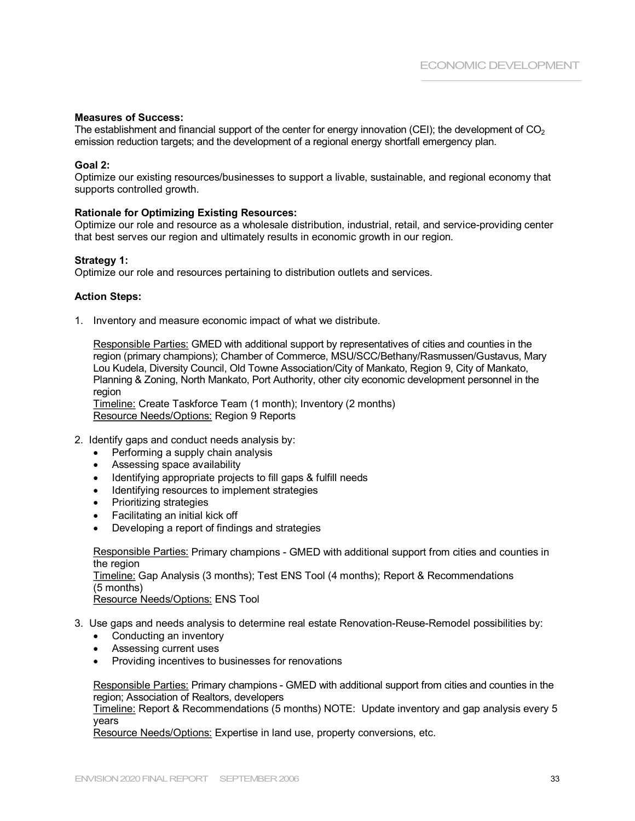### **Measures of Success:**

The establishment and financial support of the center for energy innovation (CEI); the development of  $CO<sub>2</sub>$ emission reduction targets; and the development of a regional energy shortfall emergency plan.

# **Goal 2:**

Optimize our existing resources/businesses to support a livable, sustainable, and regional economy that supports controlled growth.

#### **Rationale for Optimizing Existing Resources:**

Optimize our role and resource as a wholesale distribution, industrial, retail, and service-providing center that best serves our region and ultimately results in economic growth in our region.

#### **Strategy 1:**

Optimize our role and resources pertaining to distribution outlets and services.

#### **Action Steps:**

1. Inventory and measure economic impact of what we distribute.

Responsible Parties: GMED with additional support by representatives of cities and counties in the region (primary champions); Chamber of Commerce, MSU/SCC/Bethany/Rasmussen/Gustavus, Mary Lou Kudela, Diversity Council, Old Towne Association/City of Mankato, Region 9, City of Mankato, Planning & Zoning, North Mankato, Port Authority, other city economic development personnel in the region

Timeline: Create Taskforce Team (1 month); Inventory (2 months) Resource Needs/Options: Region 9 Reports

- 2. Identify gaps and conduct needs analysis by:
	- Performing a supply chain analysis
	- Assessing space availability
	- · Identifying appropriate projects to fill gaps & fulfill needs
	- · Identifying resources to implement strategies
	- · Prioritizing strategies
	- · Facilitating an initial kick off
	- · Developing a report of findings and strategies

Responsible Parties: Primary champions - GMED with additional support from cities and counties in the region Timeline: Gap Analysis (3 months); Test ENS Tool (4 months); Report & Recommendations (5 months) Resource Needs/Options: ENS Tool

- 3. Use gaps and needs analysis to determine real estate Renovation-Reuse-Remodel possibilities by:
	- Conducting an inventory
	- · Assessing current uses
	- · Providing incentives to businesses for renovations

Responsible Parties: Primary champions - GMED with additional support from cities and counties in the region; Association of Realtors, developers

Timeline: Report & Recommendations (5 months) NOTE: Update inventory and gap analysis every 5 years

Resource Needs/Options: Expertise in land use, property conversions, etc.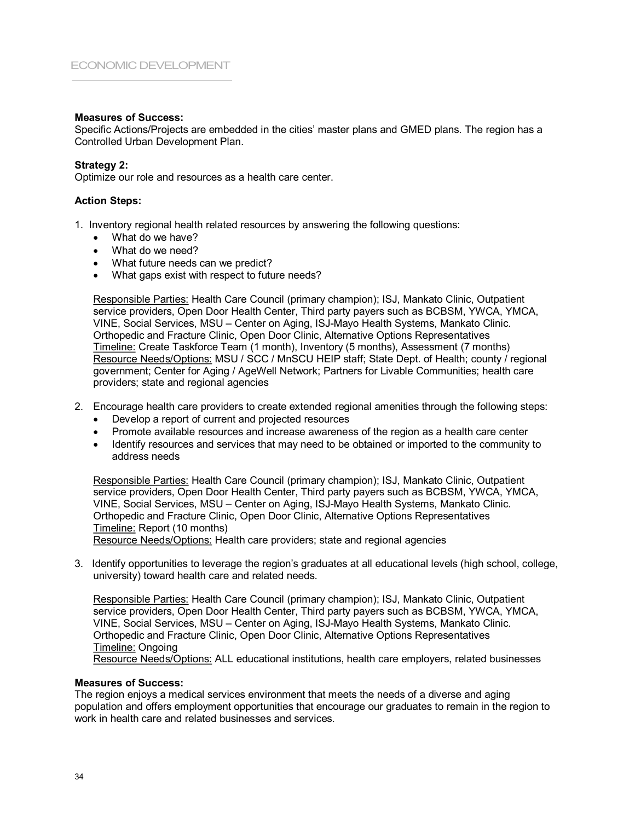## **Measures of Success:**

Specific Actions/Projects are embedded in the cities' master plans and GMED plans. The region has a Controlled Urban Development Plan.

## **Strategy 2:**

Optimize our role and resources as a health care center.

### **Action Steps:**

- 1. Inventory regional health related resources by answering the following questions:
	- · What do we have?
	- What do we need?
	- What future needs can we predict?
	- · What gaps exist with respect to future needs?

Responsible Parties: Health Care Council (primary champion); ISJ, Mankato Clinic, Outpatient service providers, Open Door Health Center, Third party payers such as BCBSM, YWCA, YMCA, VINE, Social Services, MSU – Center on Aging, ISJ-Mayo Health Systems, Mankato Clinic. Orthopedic and Fracture Clinic, Open Door Clinic, Alternative Options Representatives Timeline: Create Taskforce Team (1 month), Inventory (5 months), Assessment (7 months) Resource Needs/Options: MSU / SCC / MnSCU HEIP staff; State Dept. of Health; county / regional government; Center for Aging / AgeWell Network; Partners for Livable Communities; health care providers; state and regional agencies

- 2. Encourage health care providers to create extended regional amenities through the following steps:
	- Develop a report of current and projected resources
	- · Promote available resources and increase awareness of the region as a health care center
	- · Identify resources and services that may need to be obtained or imported to the community to address needs

Responsible Parties: Health Care Council (primary champion); ISJ, Mankato Clinic, Outpatient service providers, Open Door Health Center, Third party payers such as BCBSM, YWCA, YMCA, VINE, Social Services, MSU – Center on Aging, ISJ-Mayo Health Systems, Mankato Clinic. Orthopedic and Fracture Clinic, Open Door Clinic, Alternative Options Representatives Timeline: Report (10 months)

Resource Needs/Options: Health care providers; state and regional agencies

3. Identify opportunities to leverage the region's graduates at all educational levels (high school, college, university) toward health care and related needs.

Responsible Parties: Health Care Council (primary champion); ISJ, Mankato Clinic, Outpatient service providers, Open Door Health Center, Third party payers such as BCBSM, YWCA, YMCA, VINE, Social Services, MSU – Center on Aging, ISJMayo Health Systems, Mankato Clinic. Orthopedic and Fracture Clinic, Open Door Clinic, Alternative Options Representatives Timeline: Ongoing Resource Needs/Options: ALL educational institutions, health care employers, related businesses

#### **Measures of Success:**

The region enjoys a medical services environment that meets the needs of a diverse and aging population and offers employment opportunities that encourage our graduates to remain in the region to work in health care and related businesses and services.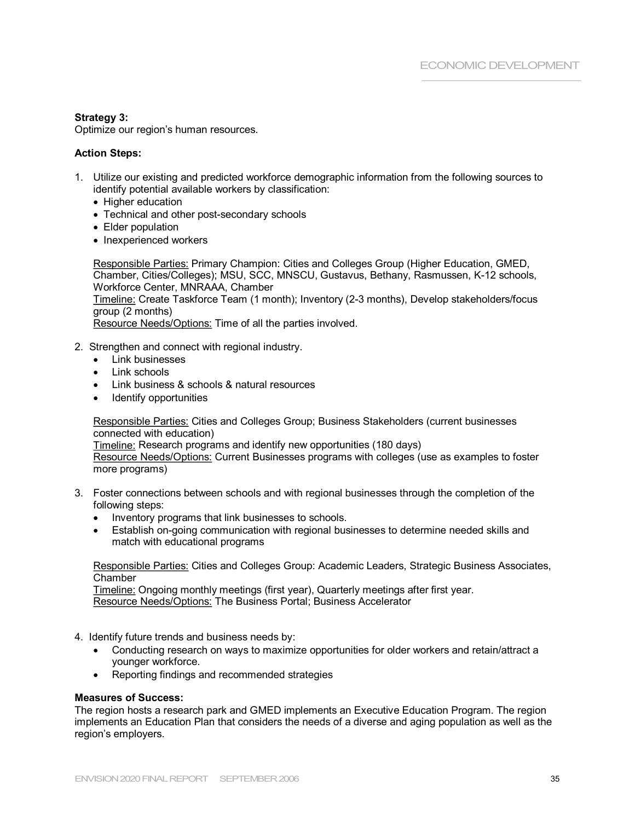# **Strategy 3:**

Optimize our region's human resources.

# **Action Steps:**

- 1. Utilize our existing and predicted workforce demographic information from the following sources to identify potential available workers by classification:
	- Higher education
	- Technical and other post-secondary schools
	- Elder population
	- Inexperienced workers

Responsible Parties: Primary Champion: Cities and Colleges Group (Higher Education, GMED, Chamber, Cities/Colleges); MSU, SCC, MNSCU, Gustavus, Bethany, Rasmussen, K12 schools, Workforce Center, MNRAAA, Chamber

Timeline: Create Taskforce Team (1 month); Inventory (23 months), Develop stakeholders/focus group (2 months)

Resource Needs/Options: Time of all the parties involved.

- 2. Strengthen and connect with regional industry.
	- Link businesses
	- Link schools
	- Link business & schools & natural resources
	- · Identify opportunities

Responsible Parties: Cities and Colleges Group; Business Stakeholders (current businesses connected with education)

Timeline: Research programs and identify new opportunities (180 days) Resource Needs/Options: Current Businesses programs with colleges (use as examples to foster

more programs)

- 3. Foster connections between schools and with regional businesses through the completion of the following steps:
	- · Inventory programs that link businesses to schools.
	- Establish on-going communication with regional businesses to determine needed skills and match with educational programs

Responsible Parties: Cities and Colleges Group: Academic Leaders, Strategic Business Associates, **Chamber** 

Timeline: Ongoing monthly meetings (first year), Quarterly meetings after first year. Resource Needs/Options: The Business Portal; Business Accelerator

- 4. Identify future trends and business needs by:
	- · Conducting research on ways to maximize opportunities for older workers and retain/attract a younger workforce.
	- · Reporting findings and recommended strategies

#### **Measures of Success:**

The region hosts a research park and GMED implements an Executive Education Program. The region implements an Education Plan that considers the needs of a diverse and aging population as well as the region's employers.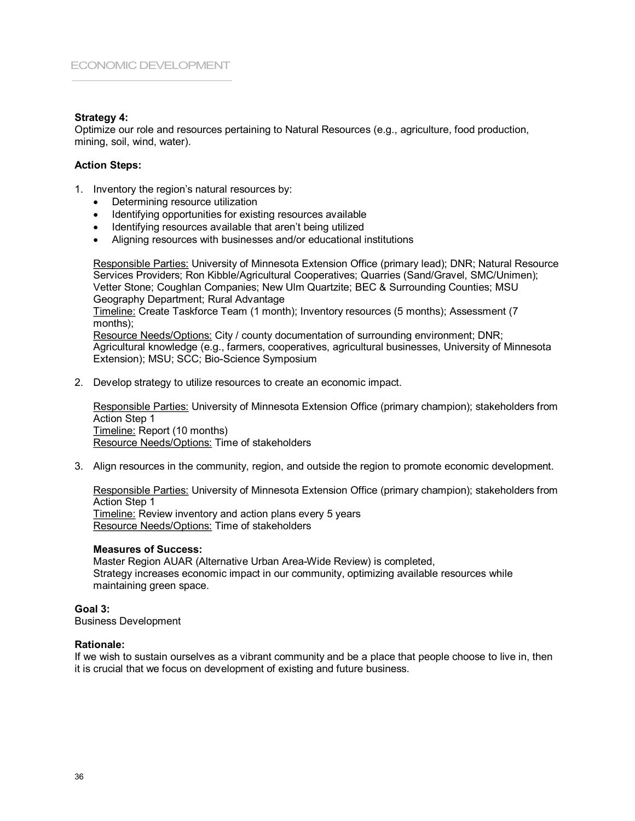## **Strategy 4:**

Optimize our role and resources pertaining to Natural Resources (e.g., agriculture, food production, mining, soil, wind, water).

# **Action Steps:**

- 1. Inventory the region's natural resources by:
	- · Determining resource utilization
	- · Identifying opportunities for existing resources available
	- · Identifying resources available that aren't being utilized
	- · Aligning resources with businesses and/or educational institutions

Responsible Parties: University of Minnesota Extension Office (primary lead); DNR; Natural Resource Services Providers; Ron Kibble/Agricultural Cooperatives; Quarries (Sand/Gravel, SMC/Unimen); Vetter Stone; Coughlan Companies; New Ulm Quartzite; BEC & Surrounding Counties; MSU Geography Department; Rural Advantage

Timeline: Create Taskforce Team (1 month); Inventory resources (5 months); Assessment (7 months);

Resource Needs/Options: City / county documentation of surrounding environment; DNR; Agricultural knowledge (e.g., farmers, cooperatives, agricultural businesses, University of Minnesota Extension); MSU; SCC; Bio-Science Symposium

2. Develop strategy to utilize resources to create an economic impact.

Responsible Parties: University of Minnesota Extension Office (primary champion); stakeholders from Action Step 1 Timeline: Report (10 months) Resource Needs/Options: Time of stakeholders

3. Align resources in the community, region, and outside the region to promote economic development.

Responsible Parties: University of Minnesota Extension Office (primary champion); stakeholders from Action Step 1 Timeline: Review inventory and action plans every 5 years Resource Needs/Options: Time of stakeholders

#### **Measures of Success:**

Master Region AUAR (Alternative Urban AreaWide Review) is completed, Strategy increases economic impact in our community, optimizing available resources while maintaining green space.

#### **Goal 3:**

Business Development

#### **Rationale:**

If we wish to sustain ourselves as a vibrant community and be a place that people choose to live in, then it is crucial that we focus on development of existing and future business.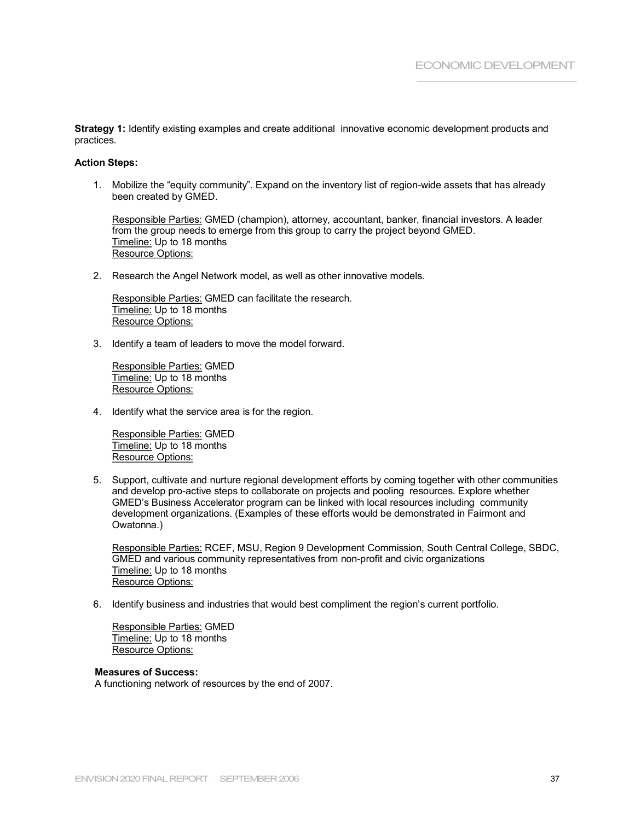**Strategy 1:** Identify existing examples and create additional innovative economic development products and practices.

#### **Action Steps:**

1. Mobilize the "equity community". Expand on the inventory list of region-wide assets that has already been created by GMED.

Responsible Parties: GMED (champion), attorney, accountant, banker, financial investors. A leader from the group needs to emerge from this group to carry the project beyond GMED. Timeline: Up to 18 months Resource Options:

2. Research the Angel Network model, as well as other innovative models.

Responsible Parties: GMED can facilitate the research. Timeline: Up to 18 months Resource Options:

3. Identify a team of leaders to move the model forward.

Responsible Parties: GMED Timeline: Up to 18 months Resource Options:

4. Identify what the service area is for the region.

Responsible Parties: GMED Timeline: Up to 18 months Resource Options:

5. Support, cultivate and nurture regional development efforts by coming together with other communities and develop pro-active steps to collaborate on projects and pooling resources. Explore whether GMED's Business Accelerator program can be linked with local resources including community development organizations. (Examples of these efforts would be demonstrated in Fairmont and Owatonna.)

Responsible Parties: RCEF, MSU, Region 9 Development Commission, South Central College, SBDC, GMED and various community representatives from non-profit and civic organizations Timeline: Up to 18 months Resource Options:

6. Identify business and industries that would best compliment the region's current portfolio.

Responsible Parties: GMED Timeline: Up to 18 months Resource Options:

## **Measures of Success:**

A functioning network of resources by the end of 2007.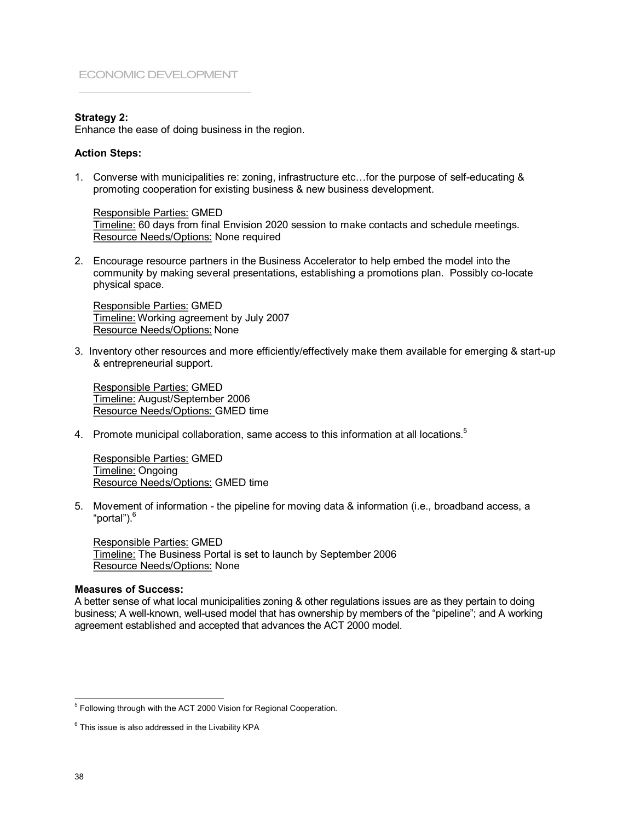# **Strategy 2:**

Enhance the ease of doing business in the region.

#### **Action Steps:**

1. Converse with municipalities re: zoning, infrastructure etc...for the purpose of self-educating & promoting cooperation for existing business & new business development.

Responsible Parties: GMED Timeline: 60 days from final Envision 2020 session to make contacts and schedule meetings. Resource Needs/Options: None required

2. Encourage resource partners in the Business Accelerator to help embed the model into the community by making several presentations, establishing a promotions plan. Possibly co-locate physical space.

Responsible Parties: GMED Timeline: Working agreement by July 2007 Resource Needs/Options: None

3. Inventory other resources and more efficiently/effectively make them available for emerging & start-up & entrepreneurial support.

Responsible Parties: GMED Timeline: August/September 2006 Resource Needs/Options: GMED time

4. Promote municipal collaboration, same access to this information at all locations.<sup>5</sup>

Responsible Parties: GMED Timeline: Ongoing Resource Needs/Options: GMED time

5. Movement of information - the pipeline for moving data & information (i.e., broadband access, a "portal").<sup>6</sup>

Responsible Parties: GMED Timeline: The Business Portal is set to launch by September 2006 Resource Needs/Options: None

#### **Measures of Success:**

A better sense of what local municipalities zoning & other regulations issues are as they pertain to doing business; A well-known, well-used model that has ownership by members of the "pipeline"; and A working agreement established and accepted that advances the ACT 2000 model.

<sup>&</sup>lt;sup>5</sup> Following through with the ACT 2000 Vision for Regional Cooperation.

 $6$  This issue is also addressed in the Livability KPA